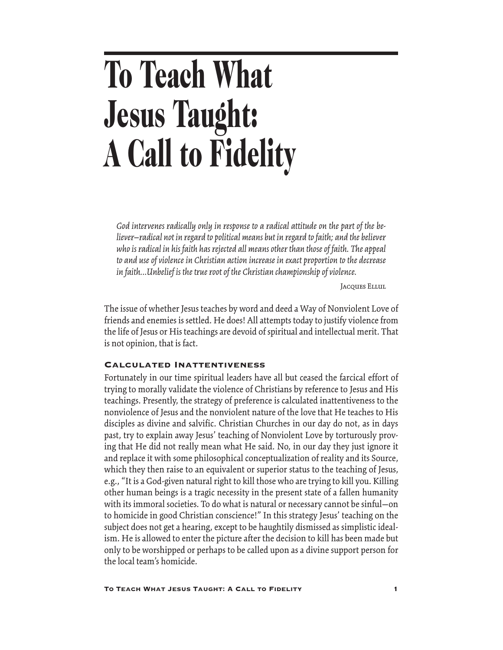# **To Teach What Jesus Taught: A Call to Fidelity**

*God intervenes radically only in response to a radical attitude on the part of the believer—radical not in regard to political means but in regard to faith; and the believer who is radical in his faith has rejected all means other than those of faith. The appeal to and use of violence in Christian action increase in exact proportion to the decrease in faith...Unbelief is the true root of the Christian championship of violence.*

**JACQUES ELLUL** 

The issue of whether Jesus teaches by word and deed a Way of Nonviolent Love of friends and enemies is settled. He does! All attempts today to justify violence from the life of Jesus or His teachings are devoid of spiritual and intellectual merit. That is not opinion, that is fact.

#### Calculated Inattentiveness

Fortunately in our time spiritual leaders have all but ceased the farcical effort of trying to morally validate the violence of Christians by reference to Jesus and His teachings. Presently, the strategy of preference is calculated inattentiveness to the nonviolence of Jesus and the nonviolent nature of the love that He teaches to His disciples as divine and salvific. Christian Churches in our day do not, as in days past, try to explain away Jesus' teaching of Nonviolent Love by torturously proving that He did not really mean what He said. No, in our day they just ignore it and replace it with some philosophical conceptualization of reality and its Source, which they then raise to an equivalent or superior status to the teaching of Jesus, e.g., "It is a God-given natural right to kill those who are trying to kill you. Killing other human beings is a tragic necessity in the present state of a fallen humanity with its immoral societies. To do what is natural or necessary cannot be sinful—on to homicide in good Christian conscience!" In this strategy Jesus' teaching on the subject does not get a hearing, except to be haughtily dismissed as simplistic idealism. He is allowed to enter the picture after the decision to kill has been made but only to be worshipped or perhaps to be called upon as a divine support person for the local team's homicide.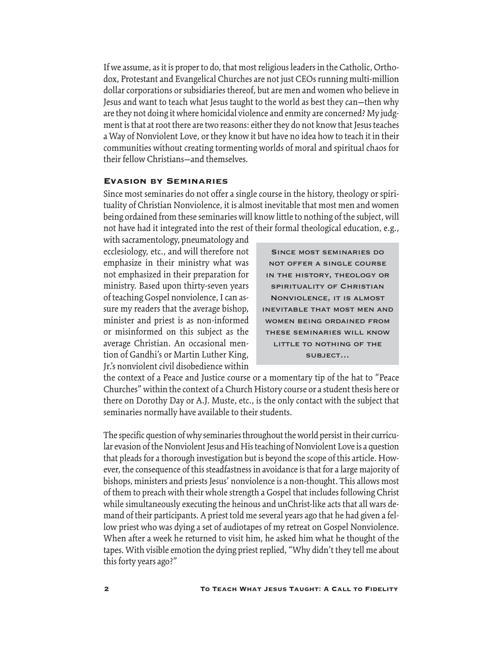If we assume, as it is proper to do, that most religious leaders in the Catholic, Orthodox, Protestant and Evangelical Churches are not just CEOs running multi-million dollar corporations or subsidiaries thereof, but are men and women who believe in Jesus and want to teach what Jesus taught to the world as best they can—then why are they not doing it where homicidal violence and enmity are concerned? My judgment is that at root there are two reasons: either they do not know that Jesus teaches a Way of Nonviolent Love, or they know it but have no idea how to teach it in their communities without creating tormenting worlds of moral and spiritual chaos for their fellow Christians—and themselves.

## Evasion by Seminaries

Since most seminaries do not offer a single course in the history, theology or spirituality of Christian Nonviolence, it is almost inevitable that most men and women being ordained from these seminaries will know little to nothing of the subject, will not have had it integrated into the rest of their formal theological education, e.g.,

with sacramentology, pneumatology and ecclesiology, etc., and will therefore not emphasize in their ministry what was not emphasized in their preparation for ministry. Based upon thirty-seven years of teaching Gospel nonviolence, I can assure my readers that the average bishop, minister and priest is as non-informed or misinformed on this subject as the average Christian. An occasional mention of Gandhi's or Martin Luther King, Jr.'s nonviolent civil disobedience within

Since most seminaries do not offer a single course in the history, theology or spirituality of Christian Nonviolence, it is almost inevitable that most men and women being ordained from these seminaries will know LITTLE TO NOTHING OF THE subject…

the context of a Peace and Justice course or a momentary tip of the hat to "Peace Churches" within the context of a Church History course or a student thesis here or there on Dorothy Day or A.J. Muste, etc., is the only contact with the subject that seminaries normally have available to their students.

The specific question of why seminaries throughout the world persist in their curricular evasion of the Nonviolent Jesus and His teaching of Nonviolent Love is a question that pleads for a thorough investigation but is beyond the scope of this article. However, the consequence of this steadfastness in avoidance is that for a large majority of bishops, ministers and priests Jesus' nonviolence is a non-thought. This allows most of them to preach with their whole strength a Gospel that includes following Christ while simultaneously executing the heinous and unChrist-like acts that all wars demand of their participants. A priest told me several years ago that he had given a fellow priest who was dying a set of audiotapes of my retreat on Gospel Nonviolence. When after a week he returned to visit him, he asked him what he thought of the tapes. With visible emotion the dying priest replied, "Why didn't they tell me about this forty years ago?"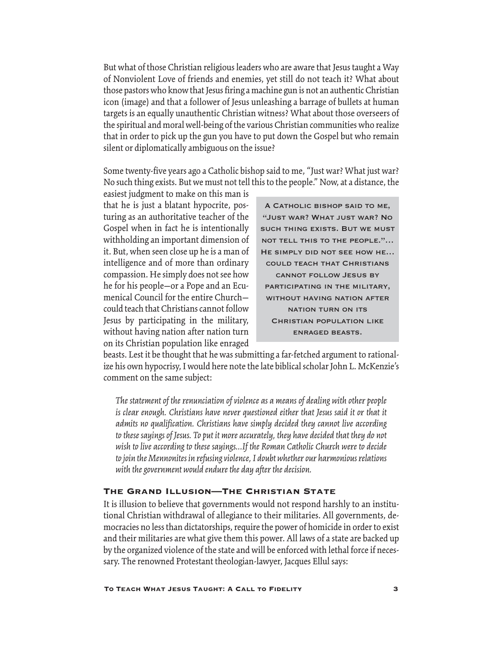But what of those Christian religious leaders who are aware that Jesus taught a Way of Nonviolent Love of friends and enemies, yet still do not teach it? What about those pastors who know that Jesus firing a machine gun is not an authentic Christian icon (image) and that a follower of Jesus unleashing a barrage of bullets at human targets is an equally unauthentic Christian witness? What about those overseers of the spiritual and moral well-being of the various Christian communities who realize that in order to pick up the gun you have to put down the Gospel but who remain silent or diplomatically ambiguous on the issue?

Some twenty-five years ago a Catholic bishop said to me, "Just war? What just war? No such thing exists. But we must not tell this to the people." Now, at a distance, the

easiest judgment to make on this man is that he is just a blatant hypocrite, posturing as an authoritative teacher of the Gospel when in fact he is intentionally withholding an important dimension of it. But, when seen close up he is a man of intelligence and of more than ordinary compassion. He simply does not see how he for his people—or a Pope and an Ecumenical Council for the entire Church could teach that Christians cannot follow Jesus by participating in the military, without having nation after nation turn on its Christian population like enraged

A Catholic bishop said to me, "Just war? What just war? No such thing exists. But we must not tell this to the people."… He simply did not see how he… could teach that Christians cannot follow Jesus by participating in the military, without having nation after nation turn on its Christian population like enraged beasts.

beasts. Lest it be thought that he was submitting a far-fetched argument to rationalize his own hypocrisy, I would here note the late biblical scholar John L. McKenzie's comment on the same subject:

*The statement of the renunciation of violence as a means of dealing with other people is clear enough. Christians have never questioned either that Jesus said it or that it admits no qualification. Christians have simply decided they cannot live according to these sayings of Jesus. To put it more accurately, they have decided that they do not wish to live according to these sayings...If the Roman Catholic Church were to decide to join the Mennonites in refusing violence, I doubt whether our harmonious relations with the government would endure the day after the decision.*

#### The Grand Illusion—The Christian State

It is illusion to believe that governments would not respond harshly to an institutional Christian withdrawal of allegiance to their militaries. All governments, democracies no less than dictatorships, require the power of homicide in order to exist and their militaries are what give them this power. All laws of a state are backed up by the organized violence of the state and will be enforced with lethal force if necessary. The renowned Protestant theologian-lawyer, Jacques Ellul says: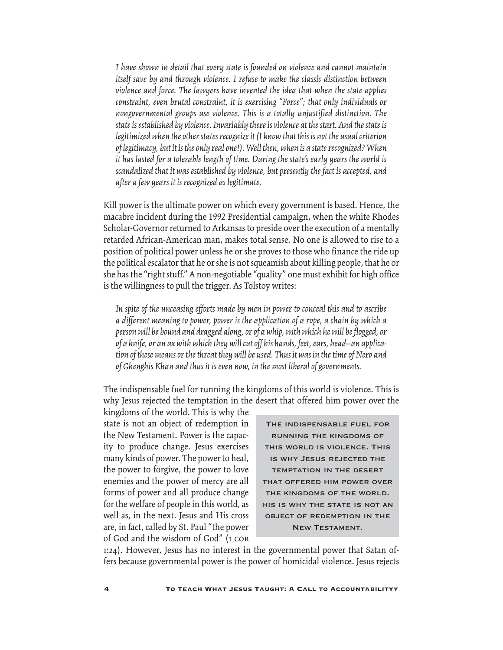*I have shown in detail that every state is founded on violence and cannot maintain itself save by and through violence. I refuse to make the classic distinction between violence and force. The lawyers have invented the idea that when the state applies constraint, even brutal constraint, it is exercising "Force"; that only individuals or nongovernmental groups use violence. This is a totally unjustified distinction. The state is established by violence. Invariably there is violence at the start. And the state is legitimized when the other states recognize it (I know that this is not the usual criterion of legitimacy, but it is the only real one!). Well then, when is a state recognized? When it has lasted for a tolerable length of time. During the state's early years the world is scandalized that it was established by violence, but presently the fact is accepted, and after a few years it is recognized as legitimate.*

Kill power is the ultimate power on which every government is based. Hence, the macabre incident during the 1992 Presidential campaign, when the white Rhodes Scholar-Governor returned to Arkansas to preside over the execution of a mentally retarded African-American man, makes total sense. No one is allowed to rise to a position of political power unless he or she proves to those who finance the ride up the political escalator that he or she is not squeamish about killing people, that he or she has the "right stuff." A non-negotiable "quality" one must exhibit for high office is the willingness to pull the trigger. As Tolstoy writes:

*In spite of the unceasing efforts made by men in power to conceal this and to ascribe a different meaning to power, power is the application of a rope, a chain by which a person will be bound and dragged along, or of a whip, with which he will be flogged, or of a knife, or an ax with which they will cut off his hands, feet, ears, head—an application of these means or the threat they will be used. Thus it was in the time of Nero and of Ghenghis Khan and thus it is even now, in the most liberal of governments.*

The indispensable fuel for running the kingdoms of this world is violence. This is why Jesus rejected the temptation in the desert that offered him power over the

kingdoms of the world. This is why the state is not an object of redemption in the New Testament. Power is the capacity to produce change. Jesus exercises many kinds of power. The power to heal, the power to forgive, the power to love enemies and the power of mercy are all forms of power and all produce change for the welfare of people in this world, as well as, in the next. Jesus and His cross are, in fact, called by St. Paul "the power of God and the wisdom of God" (1 cor

The indispensable fuel for running the kingdoms of this world is violence. This is why Jesus rejected the temptation in the desert that offered him power over the kingdoms of the world. his is why the state is not an object of redemption in the New Testament.

1:24). However, Jesus has no interest in the governmental power that Satan offers because governmental power is the power of homicidal violence. Jesus rejects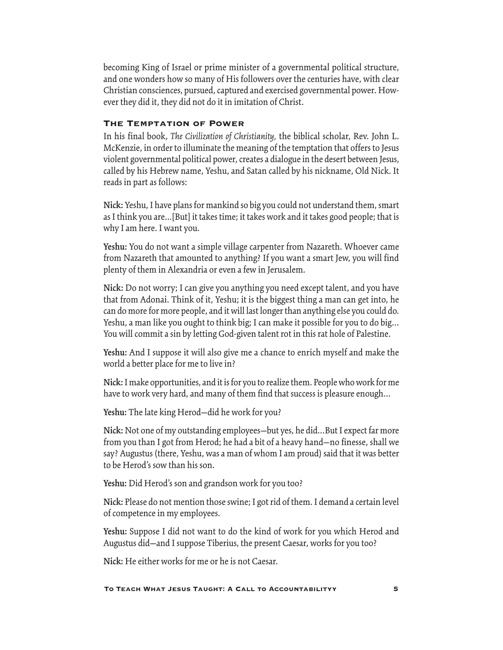becoming King of Israel or prime minister of a governmental political structure, and one wonders how so many of His followers over the centuries have, with clear Christian consciences, pursued, captured and exercised governmental power. However they did it, they did not do it in imitation of Christ.

# The Temptation of Power

In his final book, *The Civilization of Christianity,* the biblical scholar, Rev. John L. McKenzie, in order to illuminate the meaning of the temptation that offers to Jesus violent governmental political power, creates a dialogue in the desert between Jesus, called by his Hebrew name, Yeshu, and Satan called by his nickname, Old Nick. It reads in part as follows:

**Nick:** Yeshu, I have plans for mankind so big you could not understand them, smart as I think you are...[But] it takes time; it takes work and it takes good people; that is why I am here. I want you.

**Yeshu:** You do not want a simple village carpenter from Nazareth. Whoever came from Nazareth that amounted to anything? If you want a smart Jew, you will find plenty of them in Alexandria or even a few in Jerusalem.

**Nick:** Do not worry; I can give you anything you need except talent, and you have that from Adonai. Think of it, Yeshu; it is the biggest thing a man can get into, he can do more for more people, and it will last longer than anything else you could do. Yeshu, a man like you ought to think big; I can make it possible for you to do big... You will commit a sin by letting God-given talent rot in this rat hole of Palestine.

**Yeshu:** And I suppose it will also give me a chance to enrich myself and make the world a better place for me to live in?

**Nick:** I make opportunities, and it is for you to realize them. People who work for me have to work very hard, and many of them find that success is pleasure enough...

**Yeshu:** The late king Herod—did he work for you?

**Nick:** Not one of my outstanding employees—but yes, he did...But I expect far more from you than I got from Herod; he had a bit of a heavy hand—no finesse, shall we say? Augustus (there, Yeshu, was a man of whom I am proud) said that it was better to be Herod's sow than his son.

**Yeshu:** Did Herod's son and grandson work for you too?

**Nick:** Please do not mention those swine; I got rid of them. I demand a certain level of competence in my employees.

**Yeshu:** Suppose I did not want to do the kind of work for you which Herod and Augustus did—and I suppose Tiberius, the present Caesar, works for you too?

**Nick:** He either works for me or he is not Caesar.

#### To Teach What Jesus Taught: A Call to Accountabilityy 5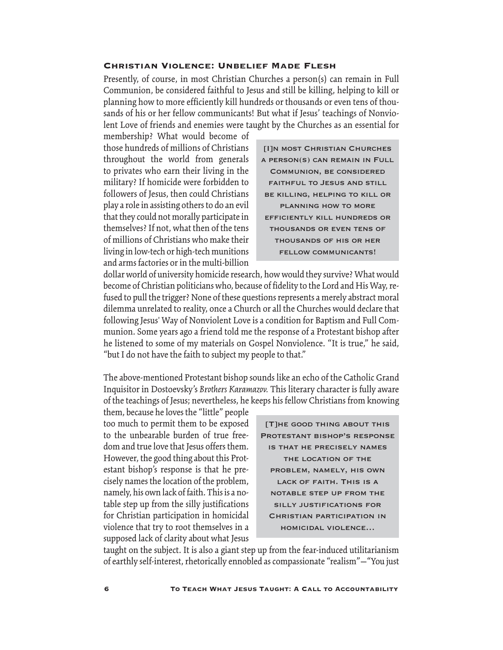#### Christian Violence: Unbelief Made Flesh

Presently, of course, in most Christian Churches a person(s) can remain in Full Communion, be considered faithful to Jesus and still be killing, helping to kill or planning how to more efficiently kill hundreds or thousands or even tens of thousands of his or her fellow communicants! But what if Jesus' teachings of Nonviolent Love of friends and enemies were taught by the Churches as an essential for

membership? What would become of those hundreds of millions of Christians throughout the world from generals to privates who earn their living in the military? If homicide were forbidden to followers of Jesus, then could Christians play a role in assisting others to do an evil that they could not morally participate in themselves? If not, what then of the tens of millions of Christians who make their living in low-tech or high-tech munitions and arms factories or in the multi-billion

[I]n most Christian Churches a person(s) can remain in Full Communion, be considered faithful to Jesus and still be killing, helping to kill or planning how to more efficiently kill hundreds or thousands or even tens of thousands of his or her fellow communicants!

dollar world of university homicide research, how would they survive? What would become of Christian politicians who, because of fidelity to the Lord and His Way, refused to pull the trigger? None of these questions represents a merely abstract moral dilemma unrelated to reality, once a Church or all the Churches would declare that following Jesus' Way of Nonviolent Love is a condition for Baptism and Full Communion. Some years ago a friend told me the response of a Protestant bishop after he listened to some of my materials on Gospel Nonviolence. "It is true," he said, "but I do not have the faith to subject my people to that."

The above-mentioned Protestant bishop sounds like an echo of the Catholic Grand Inquisitor in Dostoevsky's *Brothers Karamazov.* This literary character is fully aware of the teachings of Jesus; nevertheless, he keeps his fellow Christians from knowing

them, because he loves the "little" people too much to permit them to be exposed to the unbearable burden of true freedom and true love that Jesus offers them. However, the good thing about this Protestant bishop's response is that he precisely names the location of the problem, namely, his own lack of faith. This is a notable step up from the silly justifications for Christian participation in homicidal violence that try to root themselves in a supposed lack of clarity about what Jesus

[T]he good thing about this Protestant bishop's response is that he precisely names the location of the problem, namely, his own LACK OF FAITH. THIS IS A notable step up from the silly justifications for Christian participation in homicidal violence…

taught on the subject. It is also a giant step up from the fear-induced utilitarianism of earthly self-interest, rhetorically ennobled as compassionate "realism"—"You just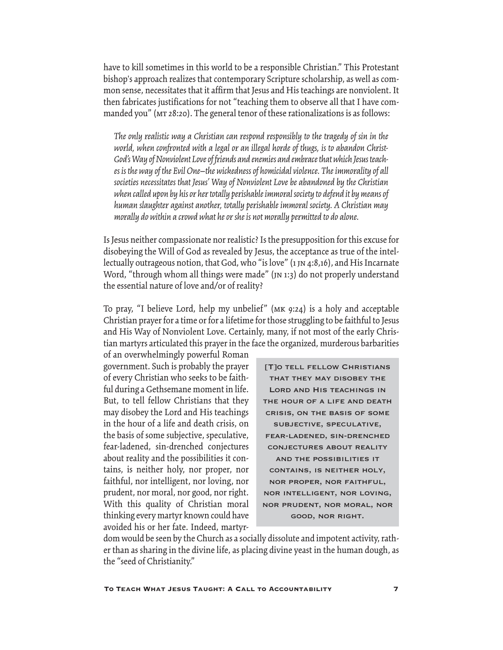have to kill sometimes in this world to be a responsible Christian." This Protestant bishop's approach realizes that contemporary Scripture scholarship, as well as common sense, necessitates that it affirm that Jesus and His teachings are nonviolent. It then fabricates justifications for not "teaching them to observe all that I have commanded you" (MT 28:20). The general tenor of these rationalizations is as follows:

*The only realistic way a Christian can respond responsibly to the tragedy of sin in the world, when confronted with a legal or an illegal horde of thugs, is to abandon Christ-God's Way of Nonviolent Love of friends and enemies and embrace that which Jesus teaches is the way of the Evil One—the wickedness of homicidal violence. The immorality of all societies necessitates that Jesus' Way of Nonviolent Love be abandoned by the Christian when called upon by his or her totally perishable immoral society to defend it by means of human slaughter against another, totally perishable immoral society. A Christian may morally do within a crowd what he or she is not morally permitted to do alone.*

Is Jesus neither compassionate nor realistic? Is the presupposition for this excuse for disobeying the Will of God as revealed by Jesus, the acceptance as true of the intellectually outrageous notion, that God, who "is love" (1 jn 4:8,16), and His Incarnate Word, "through whom all things were made" (JN 1:3) do not properly understand the essential nature of love and/or of reality?

To pray, "I believe Lord, help my unbelief" (mk 9:24) is a holy and acceptable Christian prayer for a time or for a lifetime for those struggling to be faithful to Jesus and His Way of Nonviolent Love. Certainly, many, if not most of the early Christian martyrs articulated this prayer in the face the organized, murderous barbarities

of an overwhelmingly powerful Roman government. Such is probably the prayer of every Christian who seeks to be faithful during a Gethsemane moment in life. But, to tell fellow Christians that they may disobey the Lord and His teachings in the hour of a life and death crisis, on the basis of some subjective, speculative, fear-ladened, sin-drenched conjectures about reality and the possibilities it contains, is neither holy, nor proper, nor faithful, nor intelligent, nor loving, nor prudent, nor moral, nor good, nor right. With this quality of Christian moral thinking every martyr known could have avoided his or her fate. Indeed, martyr-

[T]O TELL FELLOW CHRISTIANS that they may disobey the Lord and His teachings in the hour of a life and death crisis, on the basis of some subjective, speculative, fear-ladened, sin-drenched conjectures about reality and the possibilities it contains, is neither holy, nor proper, nor faithful, nor intelligent, nor loving, nor prudent, nor moral, nor good, nor right.

dom would be seen by the Church as a socially dissolute and impotent activity, rather than as sharing in the divine life, as placing divine yeast in the human dough, as the "seed of Christianity."

To Teach What Jesus Taught: A Call to Accountability 7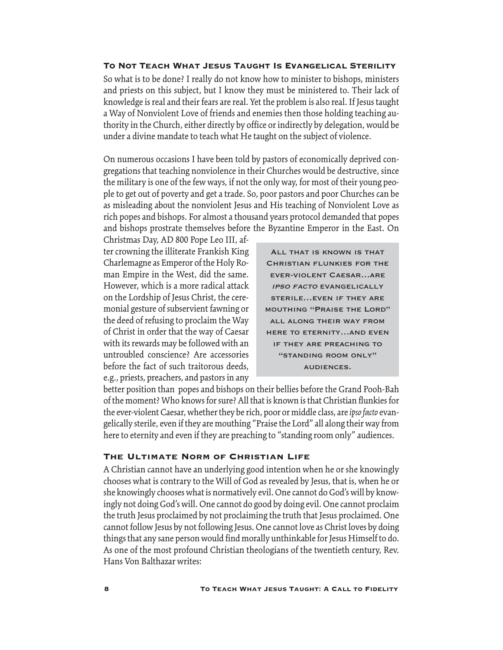#### To Not Teach What Jesus Taught Is Evangelical Sterility

So what is to be done? I really do not know how to minister to bishops, ministers and priests on this subject, but I know they must be ministered to. Their lack of knowledge is real and their fears are real. Yet the problem is also real. If Jesus taught a Way of Nonviolent Love of friends and enemies then those holding teaching authority in the Church, either directly by office or indirectly by delegation, would be under a divine mandate to teach what He taught on the subject of violence.

On numerous occasions I have been told by pastors of economically deprived congregations that teaching nonviolence in their Churches would be destructive, since the military is one of the few ways, if not the only way, for most of their young people to get out of poverty and get a trade. So, poor pastors and poor Churches can be as misleading about the nonviolent Jesus and His teaching of Nonviolent Love as rich popes and bishops. For almost a thousand years protocol demanded that popes and bishops prostrate themselves before the Byzantine Emperor in the East. On

Christmas Day, AD 800 Pope Leo III, after crowning the illiterate Frankish King Charlemagne as Emperor of the Holy Roman Empire in the West, did the same. However, which is a more radical attack on the Lordship of Jesus Christ, the ceremonial gesture of subservient fawning or the deed of refusing to proclaim the Way of Christ in order that the way of Caesar with its rewards may be followed with an untroubled conscience? Are accessories before the fact of such traitorous deeds, e.g., priests, preachers, and pastors in any

All that is known is that Christian flunkies for the ever-violent Caesar…are ipso facto evangelically sterile…even if they are mouthing "Praise the Lord" all along their way from here to eternity…and even if they are preaching to "standing room only" audiences.

better position than popes and bishops on their bellies before the Grand Pooh-Bah of the moment? Who knows for sure? All that is known is that Christian flunkies for the ever-violent Caesar, whether they be rich, poor or middle class, are *ipso facto* evangelically sterile, even if they are mouthing "Praise the Lord" all along their way from here to eternity and even if they are preaching to "standing room only" audiences.

#### The Ultimate Norm of Christian Life

A Christian cannot have an underlying good intention when he or she knowingly chooses what is contrary to the Will of God as revealed by Jesus, that is, when he or she knowingly chooses what is normatively evil. One cannot do God's will by knowingly not doing God's will. One cannot do good by doing evil. One cannot proclaim the truth Jesus proclaimed by not proclaiming the truth that Jesus proclaimed. One cannot follow Jesus by not following Jesus. One cannot love as Christ loves by doing things that any sane person would find morally unthinkable for Jesus Himself to do. As one of the most profound Christian theologians of the twentieth century, Rev. Hans Von Balthazar writes: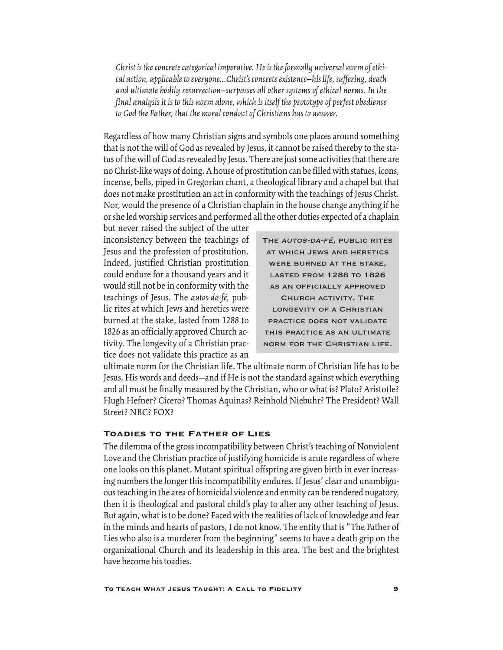*Christ is the concrete categorical imperative. He is the formally universal norm of ethical action, applicable to everyone...Christ's concrete existence—his life, suffering, death and ultimate bodily resurrection—surpasses all other systems of ethical norms. In the final analysis it is to this norm alone, which is itself the prototype of perfect obedience to God the Father, that the moral conduct of Christians has to answer.*

Regardless of how many Christian signs and symbols one places around something that is not the will of God as revealed by Jesus, it cannot be raised thereby to the status of the will of God as revealed by Jesus. There are just some activities that there are no Christ-like ways of doing. A house of prostitution can be filled with statues, icons, incense, bells, piped in Gregorian chant, a theological library and a chapel but that does not make prostitution an act in conformity with the teachings of Jesus Christ. Nor, would the presence of a Christian chaplain in the house change anything if he or she led worship services and performed all the other duties expected of a chaplain

but never raised the subject of the utter inconsistency between the teachings of Jesus and the profession of prostitution. Indeed, justified Christian prostitution could endure for a thousand years and it would still not be in conformity with the teachings of Jesus. The *autos-da-fé,* public rites at which Jews and heretics were burned at the stake, lasted from 1288 to 1826 as an officially approved Church activity. The longevity of a Christian practice does not validate this practice as an

THE AUTOS-DA-FÉ, PUBLIC RITES at which Jews and heretics were burned at the stake, LASTED FROM 1288 TO 1826 as an officially approved Church activity. The longevity of a Christian practice does not validate this practice as an ultimate norm for the Christian life.

ultimate norm for the Christian life. The ultimate norm of Christian life has to be Jesus, His words and deeds—and if He is not the standard against which everything and all must be finally measured by the Christian, who or what is? Plato? Aristotle? Hugh Hefner? Cicero? Thomas Aquinas? Reinhold Niebuhr? The President? Wall Street? NBC? FOX?

## Toadies to the Father of Lies

The dilemma of the gross incompatibility between Christ's teaching of Nonviolent Love and the Christian practice of justifying homicide is acute regardless of where one looks on this planet. Mutant spiritual offspring are given birth in ever increasing numbers the longer this incompatibility endures. If Jesus' clear and unambiguous teaching in the area of homicidal violence and enmity can be rendered nugatory, then it is theological and pastoral child's play to alter any other teaching of Jesus. But again, what is to be done? Faced with the realities of lack of knowledge and fear in the minds and hearts of pastors, I do not know. The entity that is "The Father of Lies who also is a murderer from the beginning" seems to have a death grip on the organizational Church and its leadership in this area. The best and the brightest have become his toadies.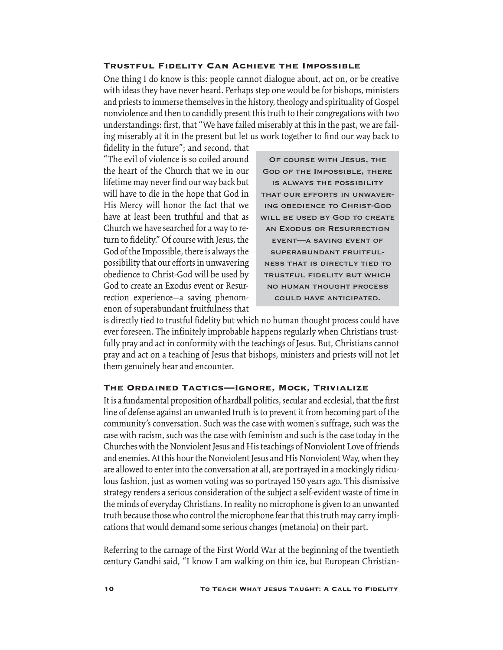#### Trustful Fidelity Can Achieve the Impossible

One thing I do know is this: people cannot dialogue about, act on, or be creative with ideas they have never heard. Perhaps step one would be for bishops, ministers and priests to immerse themselves in the history, theology and spirituality of Gospel nonviolence and then to candidly present this truth to their congregations with two understandings: first, that "We have failed miserably at this in the past, we are failing miserably at it in the present but let us work together to find our way back to

fidelity in the future"; and second, that "The evil of violence is so coiled around the heart of the Church that we in our lifetime may never find our way back but will have to die in the hope that God in His Mercy will honor the fact that we have at least been truthful and that as Church we have searched for a way to return to fidelity." Of course with Jesus, the God of the Impossible, there is always the possibility that our efforts in unwavering obedience to Christ-God will be used by God to create an Exodus event or Resurrection experience—a saving phenomenon of superabundant fruitfulness that

Of course with Jesus, the God of the Impossible, there is always the possibility that our efforts in unwavering obedience to Christ-God WILL BE USED BY GOD TO CREATE an Exodus or Resurrection event—a saving event of superabundant fruitfulness that is directly tied to trustful fidelity but which no human thought process could have anticipated.

is directly tied to trustful fidelity but which no human thought process could have ever foreseen. The infinitely improbable happens regularly when Christians trustfully pray and act in conformity with the teachings of Jesus. But, Christians cannot pray and act on a teaching of Jesus that bishops, ministers and priests will not let them genuinely hear and encounter.

#### The Ordained Tactics—Ignore, Mock, Trivialize

It is a fundamental proposition of hardball politics, secular and ecclesial, that the first line of defense against an unwanted truth is to prevent it from becoming part of the community's conversation. Such was the case with women's suffrage, such was the case with racism, such was the case with feminism and such is the case today in the Churches with the Nonviolent Jesus and His teachings of Nonviolent Love of friends and enemies. At this hour the Nonviolent Jesus and His Nonviolent Way, when they are allowed to enter into the conversation at all, are portrayed in a mockingly ridiculous fashion, just as women voting was so portrayed 150 years ago. This dismissive strategy renders a serious consideration of the subject a self-evident waste of time in the minds of everyday Christians. In reality no microphone is given to an unwanted truth because those who control the microphone fear that this truth may carry implications that would demand some serious changes (metanoia) on their part.

Referring to the carnage of the First World War at the beginning of the twentieth century Gandhi said, "I know I am walking on thin ice, but European Christian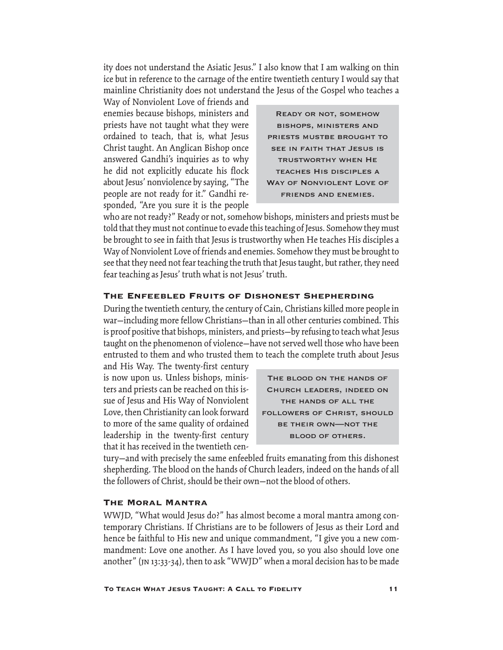ity does not understand the Asiatic Jesus." I also know that I am walking on thin ice but in reference to the carnage of the entire twentieth century I would say that mainline Christianity does not understand the Jesus of the Gospel who teaches a

Way of Nonviolent Love of friends and enemies because bishops, ministers and priests have not taught what they were ordained to teach, that is, what Jesus Christ taught. An Anglican Bishop once answered Gandhi's inquiries as to why he did not explicitly educate his flock about Jesus' nonviolence by saying, "The people are not ready for it." Gandhi responded, "Are you sure it is the people

Ready or not, somehow bishops, ministers and PRIESTS MUSTBE BROUGHT TO see in faith that Jesus is trustworthy when He teaches His disciples a WAY OF NONVIOLENT LOVE OF friends and enemies.

who are not ready?" Ready or not, somehow bishops, ministers and priests must be told that they must not continue to evade this teaching of Jesus. Somehow they must be brought to see in faith that Jesus is trustworthy when He teaches His disciples a Way of Nonviolent Love of friends and enemies. Somehow they must be brought to see that they need not fear teaching the truth that Jesus taught, but rather, they need fear teaching as Jesus' truth what is not Jesus' truth.

#### The Enfeebled Fruits of Dishonest Shepherding

During the twentieth century, the century of Cain, Christians killed more people in war—including more fellow Christians—than in all other centuries combined. This is proof positive that bishops, ministers, and priests—by refusing to teach what Jesus taught on the phenomenon of violence—have not served well those who have been entrusted to them and who trusted them to teach the complete truth about Jesus

and His Way. The twenty-first century is now upon us. Unless bishops, ministers and priests can be reached on this issue of Jesus and His Way of Nonviolent Love, then Christianity can look forward to more of the same quality of ordained leadership in the twenty-first century that it has received in the twentieth cen-

The blood on the hands of Church leaders, indeed on the hands of all the followers of Christ, should be their own—not the blood of others.

tury—and with precisely the same enfeebled fruits emanating from this dishonest shepherding. The blood on the hands of Church leaders, indeed on the hands of all the followers of Christ, should be their own—not the blood of others.

## The Moral Mantra

WWJD, "What would Jesus do?" has almost become a moral mantra among contemporary Christians. If Christians are to be followers of Jesus as their Lord and hence be faithful to His new and unique commandment, "I give you a new commandment: Love one another. As I have loved you, so you also should love one another" (jn 13:33-34), then to ask "WWJD" when a moral decision has to be made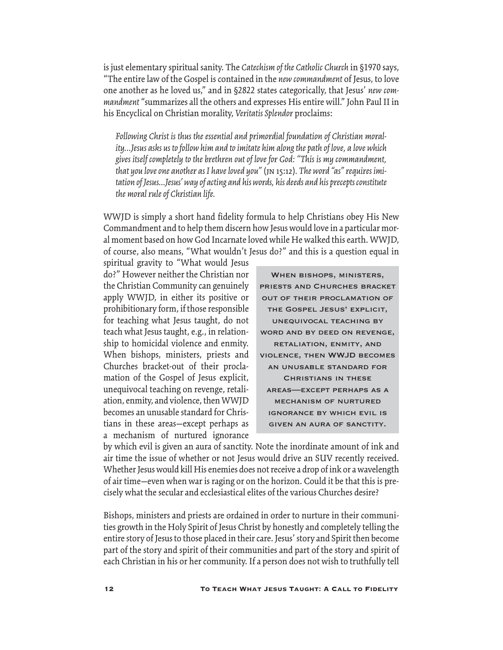is just elementary spiritual sanity. The *Catechism of the Catholic Church* in §1970 says, "The entire law of the Gospel is contained in the *new commandment* of Jesus, to love one another as he loved us," and in §2822 states categorically, that Jesus' *new commandment* "summarizes all the others and expresses His entire will." John Paul II in his Encyclical on Christian morality, *Veritatis Splendor* proclaims:

*Following Christ is thus the essential and primordial foundation of Christian morality...Jesus asks us to follow him and to imitate him along the path of love, a love which gives itself completely to the brethren out of love for God: "This is my commandment, that you love one another as I have loved you"* (jn 15:12)*. The word "as" requires imitation of Jesus...Jesus' way of acting and his words, his deeds and his precepts constitute the moral rule of Christian life.* 

WWJD is simply a short hand fidelity formula to help Christians obey His New Commandment and to help them discern how Jesus would love in a particular moral moment based on how God Incarnate loved while He walked this earth. WWJD, of course, also means, "What wouldn't Jesus do?" and this is a question equal in

spiritual gravity to "What would Jesus do?" However neither the Christian nor the Christian Community can genuinely apply WWJD, in either its positive or prohibitionary form, if those responsible for teaching what Jesus taught, do not teach what Jesus taught, e.g., in relationship to homicidal violence and enmity. When bishops, ministers, priests and Churches bracket-out of their proclamation of the Gospel of Jesus explicit, unequivocal teaching on revenge, retaliation, enmity, and violence, then WWJD becomes an unusable standard for Christians in these areas—except perhaps as a mechanism of nurtured ignorance

When bishops, ministers, priests and Churches bracket out of their proclamation of the Gospel Jesus' explicit, unequivocal teaching by word and by deed on revenge, retaliation, enmity, and violence, then WWJD becomes an unusable standard for Christians in these areas—except perhaps as a mechanism of nurtured ignorance by which evil is given an aura of sanctity.

by which evil is given an aura of sanctity. Note the inordinate amount of ink and air time the issue of whether or not Jesus would drive an SUV recently received. Whether Jesus would kill His enemies does not receive a drop of ink or a wavelength of air time—even when war is raging or on the horizon. Could it be that this is precisely what the secular and ecclesiastical elites of the various Churches desire?

Bishops, ministers and priests are ordained in order to nurture in their communities growth in the Holy Spirit of Jesus Christ by honestly and completely telling the entire story of Jesus to those placed in their care. Jesus' story and Spirit then become part of the story and spirit of their communities and part of the story and spirit of each Christian in his or her community. If a person does not wish to truthfully tell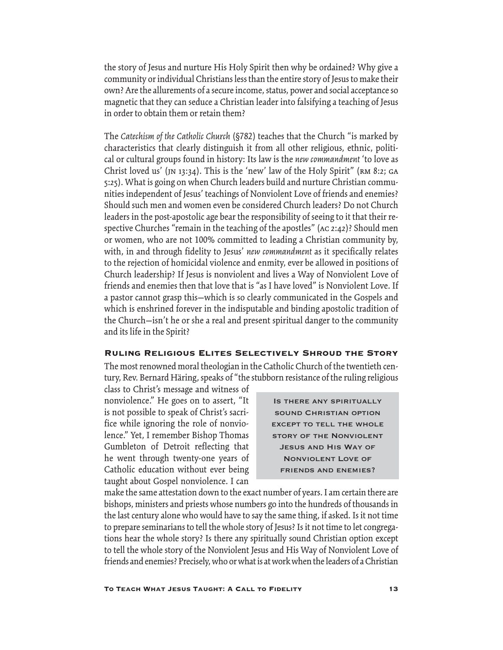the story of Jesus and nurture His Holy Spirit then why be ordained? Why give a community or individual Christians less than the entire story of Jesus to make their own? Are the allurements of a secure income, status, power and social acceptance so magnetic that they can seduce a Christian leader into falsifying a teaching of Jesus in order to obtain them or retain them?

The *Catechism of the Catholic Church* (§782) teaches that the Church "is marked by characteristics that clearly distinguish it from all other religious, ethnic, political or cultural groups found in history: Its law is the *new commandment* 'to love as Christ loved us' (JN 13:34). This is the 'new' law of the Holy Spirit" (RM 8:2; GA 5:25). What is going on when Church leaders build and nurture Christian communities independent of Jesus' teachings of Nonviolent Love of friends and enemies? Should such men and women even be considered Church leaders? Do not Church leaders in the post-apostolic age bear the responsibility of seeing to it that their respective Churches "remain in the teaching of the apostles" (ac 2:42)? Should men or women, who are not 100% committed to leading a Christian community by, with, in and through fidelity to Jesus' *new commandment* as it specifically relates to the rejection of homicidal violence and enmity, ever be allowed in positions of Church leadership? If Jesus is nonviolent and lives a Way of Nonviolent Love of friends and enemies then that love that is "as I have loved" is Nonviolent Love. If a pastor cannot grasp this—which is so clearly communicated in the Gospels and which is enshrined forever in the indisputable and binding apostolic tradition of the Church—isn't he or she a real and present spiritual danger to the community and its life in the Spirit?

## Ruling Religious Elites Selectively Shroud the Story

The most renowned moral theologian in the Catholic Church of the twentieth century, Rev. Bernard Häring, speaks of "the stubborn resistance of the ruling religious

class to Christ's message and witness of nonviolence." He goes on to assert, "It is not possible to speak of Christ's sacrifice while ignoring the role of nonviolence." Yet, I remember Bishop Thomas Gumbleton of Detroit reflecting that he went through twenty-one years of Catholic education without ever being taught about Gospel nonviolence. I can

Is there any spiritually sound Christian option except to tell the whole story of the Nonviolent Jesus and His Way of Nonviolent Love of friends and enemies?

make the same attestation down to the exact number of years. I am certain there are bishops, ministers and priests whose numbers go into the hundreds of thousands in the last century alone who would have to say the same thing, if asked. Is it not time to prepare seminarians to tell the whole story of Jesus? Is it not time to let congregations hear the whole story? Is there any spiritually sound Christian option except to tell the whole story of the Nonviolent Jesus and His Way of Nonviolent Love of friends and enemies? Precisely, who or what is at work when the leaders of a Christian